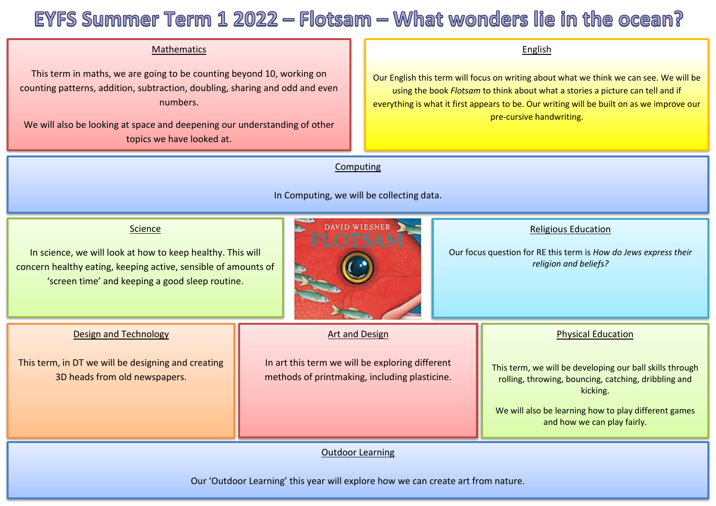# EYFS Summer Term  $1\,2022$  – Flotsam – What wonders lie in the ocean?

### Mathematics

 This term in maths, we are going to be counting beyond 10, working on counting patterns, addition, subtraction, doubling, sharing and odd and even numbers.

We will also be looking at space and deepening our understanding of other topics we have looked at.

#### English

Our English this term will focus on writing about what we think we can see. We will be using the book *Flotsam* to think about what a stories a picture can tell and if everything is what it first appears to be. Our writing will be built on as we improve our pre-cursive handwriting.

### **Computing**

In Computing, we will be collecting data.



Our 'Outdoor Learning' this year will explore how we can create art from nature.